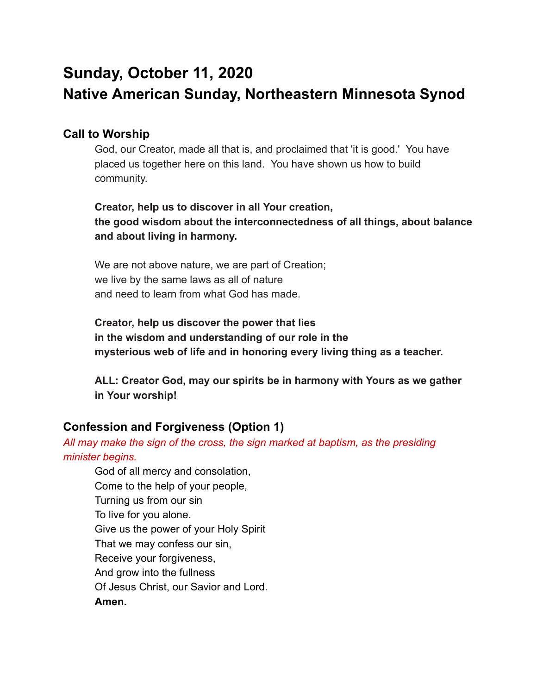# **Sunday, October 11, 2020 Native American Sunday, Northeastern Minnesota Synod**

# **Call to Worship**

God, our Creator, made all that is, and proclaimed that 'it is good.' You have placed us together here on this land. You have shown us how to build community.

# **Creator, help us to discover in all Your creation, the good wisdom about the interconnectedness of all things, about balance and about living in harmony.**

We are not above nature, we are part of Creation; we live by the same laws as all of nature and need to learn from what God has made.

**Creator, help us discover the power that lies in the wisdom and understanding of our role in the mysterious web of life and in honoring every living thing as a teacher.** 

**ALL: Creator God, may our spirits be in harmony with Yours as we gather in Your worship!** 

# **Confession and Forgiveness (Option 1)**

# *All may make the sign of the cross, the sign marked at baptism, as the presiding minister begins.*

God of all mercy and consolation, Come to the help of your people, Turning us from our sin To live for you alone. Give us the power of your Holy Spirit That we may confess our sin, Receive your forgiveness, And grow into the fullness Of Jesus Christ, our Savior and Lord. **Amen.**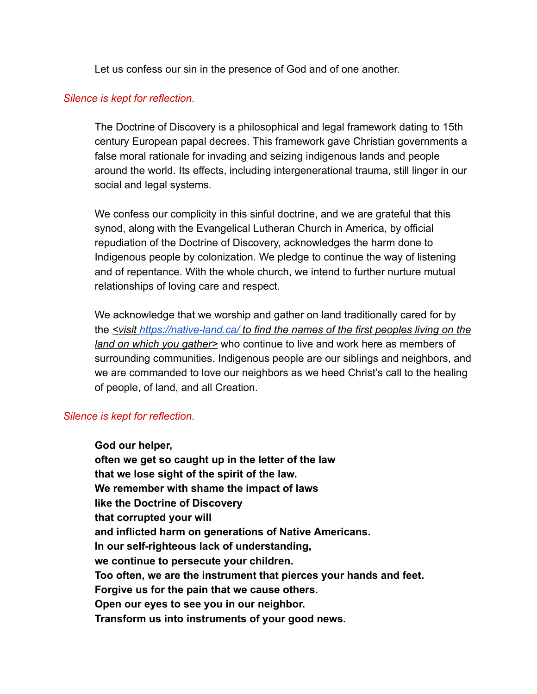Let us confess our sin in the presence of God and of one another.

### *Silence is kept for reflection.*

The Doctrine of Discovery is a philosophical and legal framework dating to 15th century European papal decrees. This framework gave Christian governments a false moral rationale for invading and seizing indigenous lands and people around the world. Its effects, including intergenerational trauma, still linger in our social and legal systems.

We confess our complicity in this sinful doctrine, and we are grateful that this synod, along with the Evangelical Lutheran Church in America, by official repudiation of the Doctrine of Discovery, acknowledges the harm done to Indigenous people by colonization. We pledge to continue the way of listening and of repentance. With the whole church, we intend to further nurture mutual relationships of loving care and respect.

We acknowledge that we worship and gather on land traditionally cared for by the *<visit<https://native-land.ca/> to find the names of the first peoples living on the land on which you gather>* who continue to live and work here as members of surrounding communities. Indigenous people are our siblings and neighbors, and we are commanded to love our neighbors as we heed Christ's call to the healing of people, of land, and all Creation.

### *Silence is kept for reflection.*

**God our helper, often we get so caught up in the letter of the law that we lose sight of the spirit of the law. We remember with shame the impact of laws like the Doctrine of Discovery that corrupted your will and inflicted harm on generations of Native Americans. In our self-righteous lack of understanding, we continue to persecute your children. Too often, we are the instrument that pierces your hands and feet. Forgive us for the pain that we cause others. Open our eyes to see you in our neighbor. Transform us into instruments of your good news.**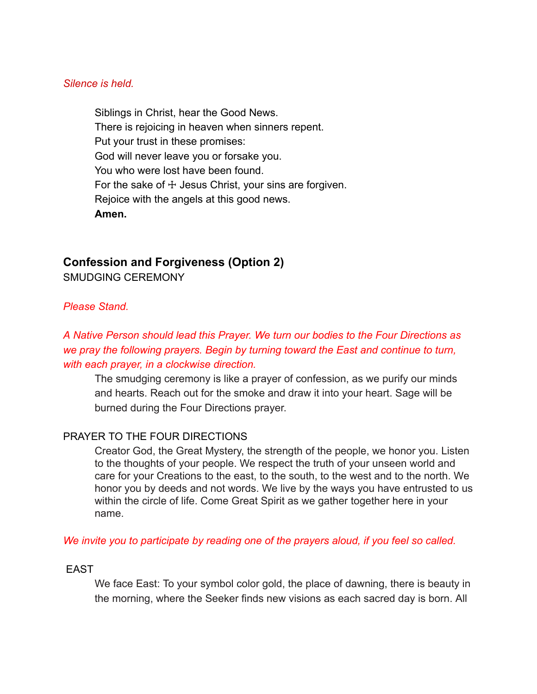#### *Silence is held.*

Siblings in Christ, hear the Good News. There is rejoicing in heaven when sinners repent. Put your trust in these promises: God will never leave you or forsake you. You who were lost have been found. For the sake of  $+$  Jesus Christ, your sins are forgiven. Rejoice with the angels at this good news. **Amen.** 

# **Confession and Forgiveness (Option 2)**

SMUDGING CEREMONY

#### *Please Stand.*

*A Native Person should lead this Prayer. We turn our bodies to the Four Directions as we pray the following prayers. Begin by turning toward the East and continue to turn, with each prayer, in a clockwise direction.* 

The smudging ceremony is like a prayer of confession, as we purify our minds and hearts. Reach out for the smoke and draw it into your heart. Sage will be burned during the Four Directions prayer.

### PRAYER TO THE FOUR DIRECTIONS

Creator God, the Great Mystery, the strength of the people, we honor you. Listen to the thoughts of your people. We respect the truth of your unseen world and care for your Creations to the east, to the south, to the west and to the north. We honor you by deeds and not words. We live by the ways you have entrusted to us within the circle of life. Come Great Spirit as we gather together here in your name.

#### *We invite you to participate by reading one of the prayers aloud, if you feel so called.*

### EAST

We face East: To your symbol color gold, the place of dawning, there is beauty in the morning, where the Seeker finds new visions as each sacred day is born. All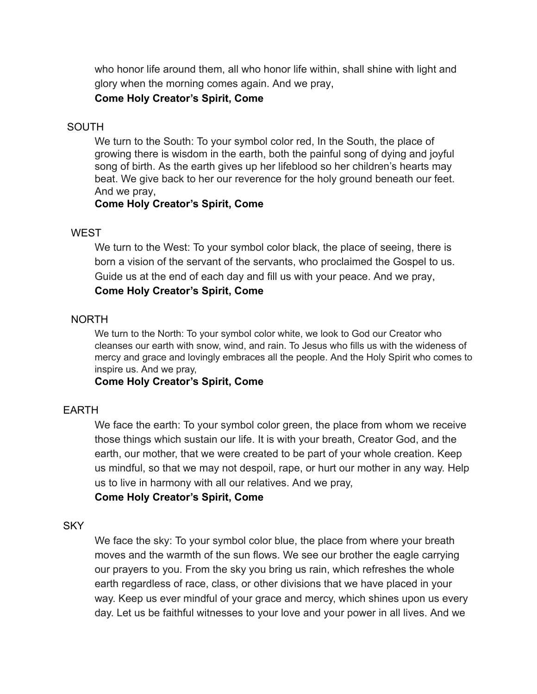who honor life around them, all who honor life within, shall shine with light and glory when the morning comes again. And we pray,

# **Come Holy Creator's Spirit, Come**

# SOUTH

We turn to the South: To your symbol color red, In the South, the place of growing there is wisdom in the earth, both the painful song of dying and joyful song of birth. As the earth gives up her lifeblood so her children's hearts may beat. We give back to her our reverence for the holy ground beneath our feet. And we pray,

# **Come Holy Creator's Spirit, Come**

# **WEST**

We turn to the West: To your symbol color black, the place of seeing, there is born a vision of the servant of the servants, who proclaimed the Gospel to us. Guide us at the end of each day and fill us with your peace. And we pray, **Come Holy Creator's Spirit, Come** 

# NORTH

We turn to the North: To your symbol color white, we look to God our Creator who cleanses our earth with snow, wind, and rain. To Jesus who fills us with the wideness of mercy and grace and lovingly embraces all the people. And the Holy Spirit who comes to inspire us. And we pray,

# **Come Holy Creator's Spirit, Come**

### EARTH

We face the earth: To your symbol color green, the place from whom we receive those things which sustain our life. It is with your breath, Creator God, and the earth, our mother, that we were created to be part of your whole creation. Keep us mindful, so that we may not despoil, rape, or hurt our mother in any way. Help us to live in harmony with all our relatives. And we pray,

# **Come Holy Creator's Spirit, Come**

# **SKY**

We face the sky: To your symbol color blue, the place from where your breath moves and the warmth of the sun flows. We see our brother the eagle carrying our prayers to you. From the sky you bring us rain, which refreshes the whole earth regardless of race, class, or other divisions that we have placed in your way. Keep us ever mindful of your grace and mercy, which shines upon us every day. Let us be faithful witnesses to your love and your power in all lives. And we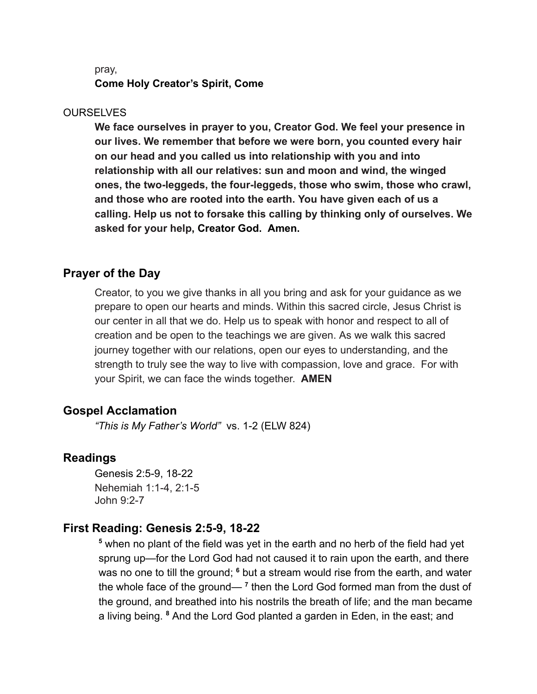#### pray,

**Come Holy Creator's Spirit, Come** 

#### **OURSELVES**

**We face ourselves in prayer to you, Creator God. We feel your presence in our lives. We remember that before we were born, you counted every hair on our head and you called us into relationship with you and into relationship with all our relatives: sun and moon and wind, the winged ones, the two-leggeds, the four-leggeds, those who swim, those who crawl, and those who are rooted into the earth. You have given each of us a calling. Help us not to forsake this calling by thinking only of ourselves. We**  asked for your help, Creator God. Amen.

#### **Prayer of the Day**

Creator, to you we give thanks in all you bring and ask for your guidance as we prepare to open our hearts and minds. Within this sacred circle, Jesus Christ is our center in all that we do. Help us to speak with honor and respect to all of creation and be open to the teachings we are given. As we walk this sacred journey together with our relations, open our eyes to understanding, and the strength to truly see the way to live with compassion, love and grace. For with your Spirit, we can face the winds together. **AMEN** 

### **Gospel Acclamation**

*"This is My Father's World"* vs. 1-2 (ELW 824)

#### **Readings**

Genesis 2:5-9, 18-22 Nehemiah 1:1-4, 2:1-5 John 9:2-7

#### **First Reading: Genesis 2:5-9, 18-22**

<sup>5</sup> when no plant of the field was yet in the earth and no herb of the field had yet sprung up—for the Lord God had not caused it to rain upon the earth, and there was no one to till the ground; <sup>6</sup> but a stream would rise from the earth, and water the whole face of the ground—<sup>7</sup> then the Lord God formed man from the dust of the ground, and breathed into his nostrils the breath of life; and the man became a living being. <sup>8</sup> And the Lord God planted a garden in Eden, in the east; and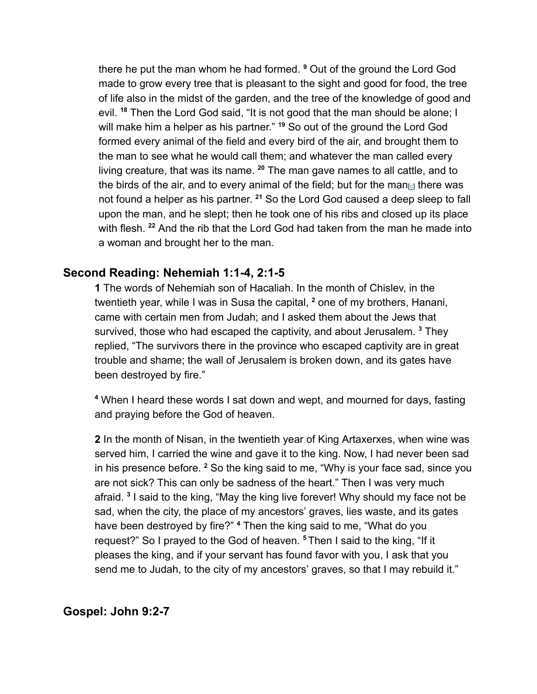there he put the man whom he had formed. **9** Out of the ground the Lord God made to grow every tree that is pleasant to the sight and good for food, the tree of life also in the midst of the garden, and the tree of the knowledge of good and evil. <sup>18</sup> Then the Lord God said, "It is not good that the man should be alone; I will make him a helper as his partner." **19** So out of the ground the Lord God formed every animal of the field and every bird of the air, and brought them to the man to see what he would call them; and whatever the man called every living creature, that was its name. <sup>20</sup> The man gave names to all cattle, and to the birds of the air, and to every animal of the field; but for the man  $c<sub>l</sub>$  there was not found a helper as his partner. <sup>21</sup> So the Lord God caused a deep sleep to fall upon the man, and he slept; then he took one of his ribs and closed up its place with flesh. <sup>22</sup> And the rib that the Lord God had taken from the man he made into a woman and brought her to the man.

# **Second Reading: Nehemiah 1:1-4, 2:1-5**

**1** The words of Nehemiah son of Hacaliah. In the month of Chislev, in the twentieth year, while I was in Susa the capital, **2** one of my brothers, Hanani, came with certain men from Judah; and I asked them about the Jews that survived, those who had escaped the captivity, and about Jerusalem. <sup>3</sup> They replied, "The survivors there in the province who escaped captivity are in great trouble and shame; the wall of Jerusalem is broken down, and its gates have been destroyed by fire."

**4** When I heard these words I sat down and wept, and mourned for days, fasting and praying before the God of heaven.

**2** In the month of Nisan, in the twentieth year of King Artaxerxes, when wine was served him, I carried the wine and gave it to the king. Now, I had never been sad in his presence before. <sup>2</sup> So the king said to me, "Why is your face sad, since you are not sick? This can only be sadness of the heart." Then I was very much afraid. **3** I said to the king, "May the king live forever! Why should my face not be sad, when the city, the place of my ancestors' graves, lies waste, and its gates have been destroyed by fire?" <sup>4</sup> Then the king said to me, "What do you request?" So I prayed to the God of heaven. **<sup>5</sup>** Then I said to the king, "If it pleases the king, and if your servant has found favor with you, I ask that you send me to Judah, to the city of my ancestors' graves, so that I may rebuild it."

# **Gospel: John 9:2-7**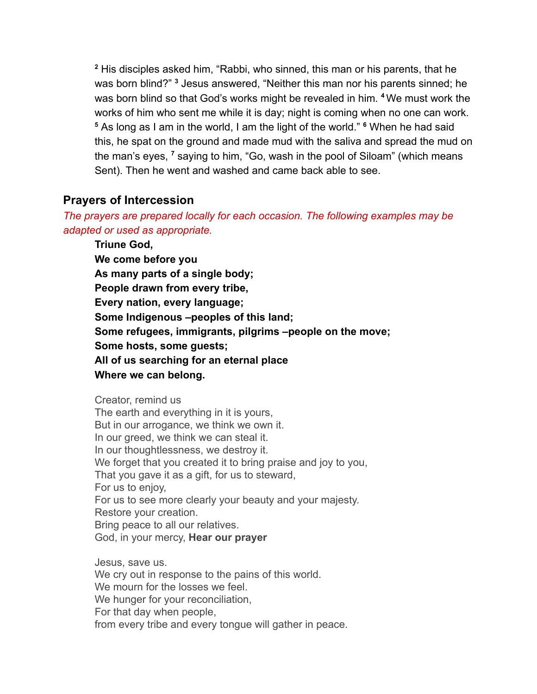**2** His disciples asked him, "Rabbi, who sinned, this man or his parents, that he was born blind?" <sup>3</sup> Jesus answered, "Neither this man nor his parents sinned; he was born blind so that God's works might be revealed in him. **<sup>4</sup>** We must work the works of him who sent me while it is day; night is coming when no one can work. <sup>5</sup> As long as I am in the world, I am the light of the world." <sup>6</sup> When he had said this, he spat on the ground and made mud with the saliva and spread the mud on the man's eyes, <sup>7</sup> saying to him, "Go, wash in the pool of Siloam" (which means Sent). Then he went and washed and came back able to see.

# **Prayers of Intercession**

*The prayers are prepared locally for each occasion. The following examples may be adapted or used as appropriate.* 

**Triune God, We come before you As many parts of a single body; People drawn from every tribe, Every nation, every language; Some Indigenous –peoples of this land; Some refugees, immigrants, pilgrims –people on the move; Some hosts, some guests; All of us searching for an eternal place Where we can belong.** 

Creator, remind us The earth and everything in it is yours, But in our arrogance, we think we own it. In our greed, we think we can steal it. In our thoughtlessness, we destroy it. We forget that you created it to bring praise and joy to you, That you gave it as a gift, for us to steward, For us to enjoy, For us to see more clearly your beauty and your majesty. Restore your creation. Bring peace to all our relatives. God, in your mercy, **Hear our prayer** 

Jesus, save us.

We cry out in response to the pains of this world. We mourn for the losses we feel. We hunger for your reconciliation, For that day when people, from every tribe and every tongue will gather in peace.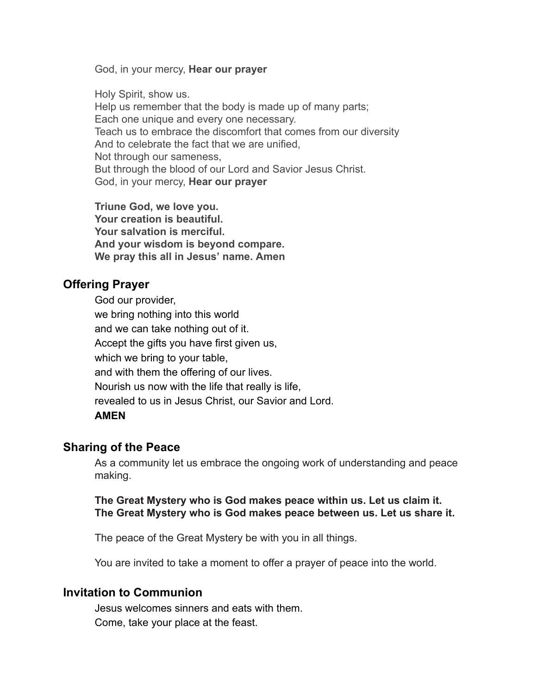God, in your mercy, **Hear our prayer** 

Holy Spirit, show us. Help us remember that the body is made up of many parts; Each one unique and every one necessary. Teach us to embrace the discomfort that comes from our diversity And to celebrate the fact that we are unified, Not through our sameness, But through the blood of our Lord and Savior Jesus Christ. God, in your mercy, **Hear our prayer** 

**Triune God, we love you. Your creation is beautiful. Your salvation is merciful. And your wisdom is beyond compare. We pray this all in Jesus' name. Amen** 

# **Offering Prayer**

God our provider, we bring nothing into this world and we can take nothing out of it. Accept the gifts you have first given us, which we bring to your table, and with them the offering of our lives. Nourish us now with the life that really is life, revealed to us in Jesus Christ, our Savior and Lord. **AMEN** 

# **Sharing of the Peace**

As a community let us embrace the ongoing work of understanding and peace making.

### **The Great Mystery who is God makes peace within us. Let us claim it. The Great Mystery who is God makes peace between us. Let us share it.**

The peace of the Great Mystery be with you in all things.

You are invited to take a moment to offer a prayer of peace into the world.

### **Invitation to Communion**

Jesus welcomes sinners and eats with them. Come, take your place at the feast.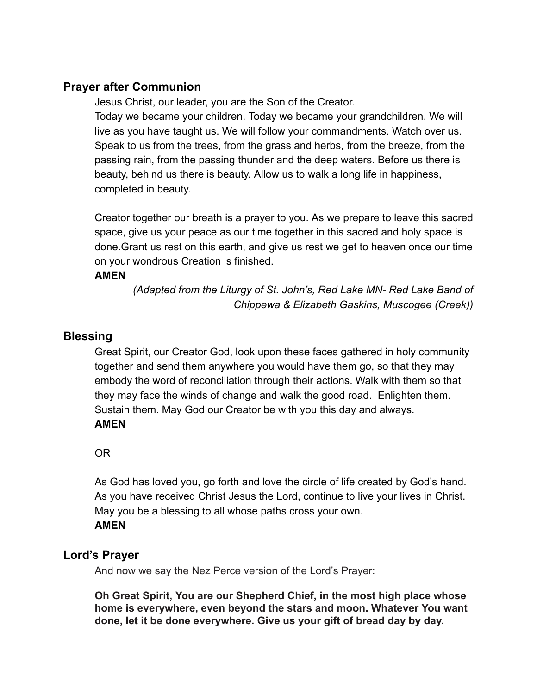# **Prayer after Communion**

Jesus Christ, our leader, you are the Son of the Creator. Today we became your children. Today we became your grandchildren. We will live as you have taught us. We will follow your commandments. Watch over us. Speak to us from the trees, from the grass and herbs, from the breeze, from the passing rain, from the passing thunder and the deep waters. Before us there is beauty, behind us there is beauty. Allow us to walk a long life in happiness, completed in beauty.

Creator together our breath is a prayer to you. As we prepare to leave this sacred space, give us your peace as our time together in this sacred and holy space is done.Grant us rest on this earth, and give us rest we get to heaven once our time on your wondrous Creation is finished.

### **AMEN**

*(Adapted from the Liturgy of St. John's, Red Lake MN- Red Lake Band of Chippewa & Elizabeth Gaskins, Muscogee (Creek))* 

# **Blessing**

Great Spirit, our Creator God, look upon these faces gathered in holy community together and send them anywhere you would have them go, so that they may embody the word of reconciliation through their actions. Walk with them so that they may face the winds of change and walk the good road. Enlighten them. Sustain them. May God our Creator be with you this day and always. **AMEN** 

# OR

As God has loved you, go forth and love the circle of life created by God's hand. As you have received Christ Jesus the Lord, continue to live your lives in Christ. May you be a blessing to all whose paths cross your own. **AMEN** 

# **Lord's Prayer**

And now we say the Nez Perce version of the Lord's Prayer:

**Oh Great Spirit, You are our Shepherd Chief, in the most high place whose home is everywhere, even beyond the stars and moon. Whatever You want done, let it be done everywhere. Give us your gift of bread day by day.**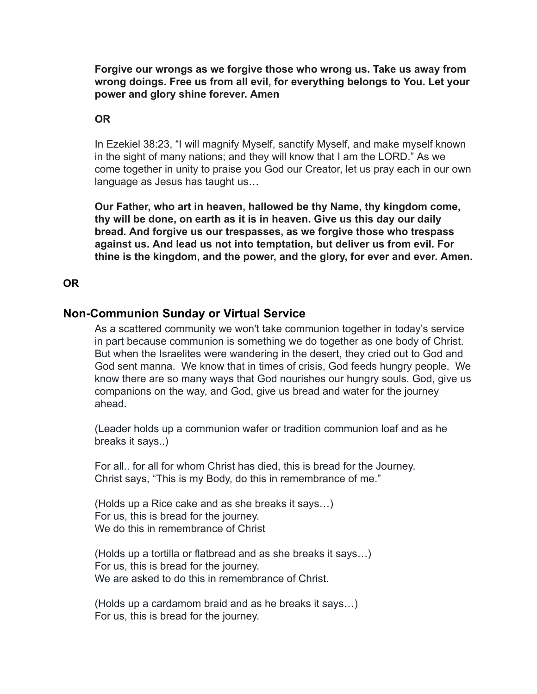**Forgive our wrongs as we forgive those who wrong us. Take us away from wrong doings. Free us from all evil, for everything belongs to You. Let your power and glory shine forever. Amen** 

# **OR**

In Ezekiel 38:23, "I will magnify Myself, sanctify Myself, and make myself known in the sight of many nations; and they will know that I am the LORD." As we come together in unity to praise you God our Creator, let us pray each in our own language as Jesus has taught us…

**Our Father, who art in heaven, hallowed be thy Name, thy kingdom come, thy will be done, on earth as it is in heaven. Give us this day our daily bread. And forgive us our trespasses, as we forgive those who trespass against us. And lead us not into temptation, but deliver us from evil. For thine is the kingdom, and the power, and the glory, for ever and ever. Amen.** 

# **OR**

# **Non-Communion Sunday or Virtual Service**

As a scattered community we won't take communion together in today's service in part because communion is something we do together as one body of Christ. But when the Israelites were wandering in the desert, they cried out to God and God sent manna. We know that in times of crisis, God feeds hungry people. We know there are so many ways that God nourishes our hungry souls. God, give us companions on the way, and God, give us bread and water for the journey ahead.

(Leader holds up a communion wafer or tradition communion loaf and as he breaks it says..)

For all.. for all for whom Christ has died, this is bread for the Journey. Christ says, "This is my Body, do this in remembrance of me."

(Holds up a Rice cake and as she breaks it says…) For us, this is bread for the journey. We do this in remembrance of Christ

(Holds up a tortilla or flatbread and as she breaks it says…) For us, this is bread for the journey. We are asked to do this in remembrance of Christ.

(Holds up a cardamom braid and as he breaks it says…) For us, this is bread for the journey.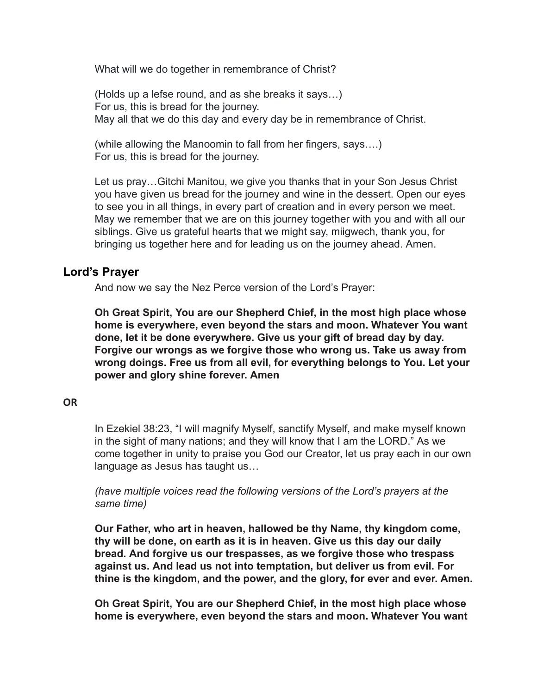What will we do together in remembrance of Christ?

(Holds up a lefse round, and as she breaks it says…) For us, this is bread for the journey. May all that we do this day and every day be in remembrance of Christ.

(while allowing the Manoomin to fall from her fingers, says….) For us, this is bread for the journey.

Let us pray… Gitchi Manitou, we give you thanks that in your Son Jesus Christ you have given us bread for the journey and wine in the dessert. Open our eyes to see you in all things, in every part of creation and in every person we meet. May we remember that we are on this journey together with you and with all our siblings. Give us grateful hearts that we might say, miigwech, thank you, for bringing us together here and for leading us on the journey ahead. Amen.

# **Lord's Prayer**

And now we say the Nez Perce version of the Lord's Prayer:

**Oh Great Spirit, You are our Shepherd Chief, in the most high place whose home is everywhere, even beyond the stars and moon. Whatever You want done, let it be done everywhere. Give us your gift of bread day by day. Forgive our wrongs as we forgive those who wrong us. Take us away from wrong doings. Free us from all evil, for everything belongs to You. Let your power and glory shine forever. Amen** 

#### **OR**

In Ezekiel 38:23, "I will magnify Myself, sanctify Myself, and make myself known in the sight of many nations; and they will know that I am the LORD." As we come together in unity to praise you God our Creator, let us pray each in our own language as Jesus has taught us…

*(have multiple voices read the following versions of the Lord's prayers at the same time)* 

**Our Father, who art in heaven, hallowed be thy Name, thy kingdom come, thy will be done, on earth as it is in heaven. Give us this day our daily bread. And forgive us our trespasses, as we forgive those who trespass against us. And lead us not into temptation, but deliver us from evil. For thine is the kingdom, and the power, and the glory, for ever and ever. Amen.** 

**Oh Great Spirit, You are our Shepherd Chief, in the most high place whose home is everywhere, even beyond the stars and moon. Whatever You want**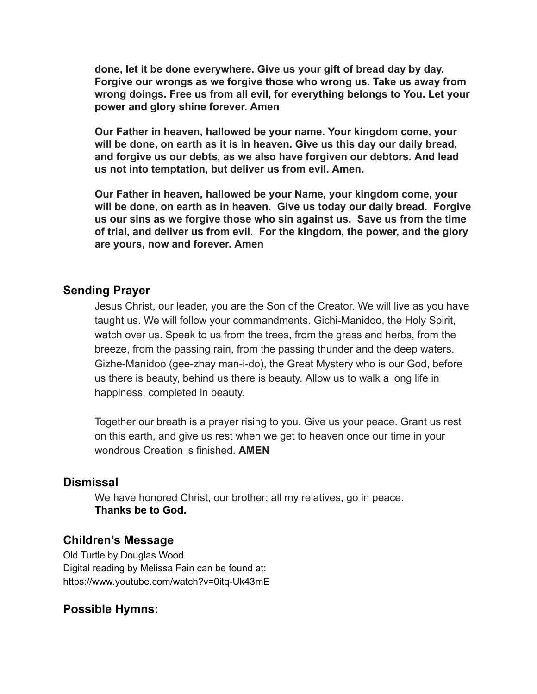**done, let it be done everywhere. Give us your gift of bread day by day. Forgive our wrongs as we forgive those who wrong us. Take us away from wrong doings. Free us from all evil, for everything belongs to You. Let your power and glory shine forever. Amen** 

**Our Father in heaven, hallowed be your name. Your kingdom come, your will be done, on earth as it is in heaven. Give us this day our daily bread, and forgive us our debts, as we also have forgiven our debtors. And lead us not into temptation, but deliver us from evil. Amen.** 

**Our Father in heaven, hallowed be your Name, your kingdom come, your will be done, on earth as in heaven. Give us today our daily bread. Forgive us our sins as we forgive those who sin against us. Save us from the time of trial, and deliver us from evil. For the kingdom, the power, and the glory are yours, now and forever. Amen** 

# **Sending Prayer**

Jesus Christ, our leader, you are the Son of the Creator. We will live as you have taught us. We will follow your commandments. Gichi-Manidoo, the Holy Spirit, watch over us. Speak to us from the trees, from the grass and herbs, from the breeze, from the passing rain, from the passing thunder and the deep waters. Gizhe-Manidoo (gee-zhay man-i-do), the Great Mystery who is our God, before us there is beauty, behind us there is beauty. Allow us to walk a long life in happiness, completed in beauty.

Together our breath is a prayer rising to you. Give us your peace. Grant us rest on this earth, and give us rest when we get to heaven once our time in your wondrous Creation is finished. **AMEN** 

# **Dismissal**

We have honored Christ, our brother; all my relatives, go in peace. **Thanks be to God.** 

### **Children's Message**

Old Turtle by Douglas Wood Digital reading by Melissa Fain can be found at: https://www.youtube.com/watch?v=0itq-Uk43mE

# **Possible Hymns:**